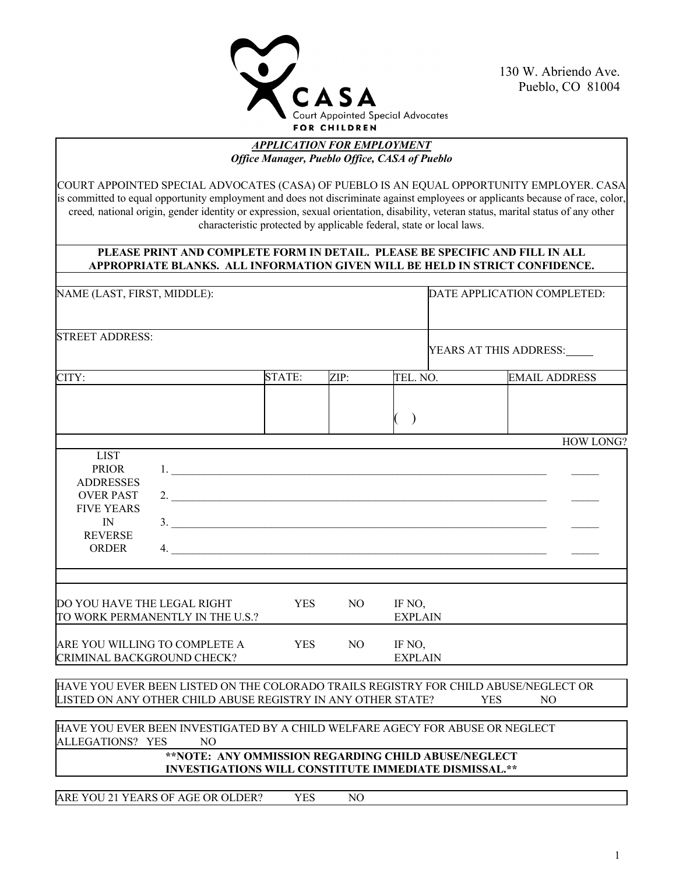

130 W. Abriendo Ave. Pueblo, CO 81004

#### *APPLICATION FOR EMPLOYMENT Office Manager, Pueblo Office, CASA of Pueblo*

COURT APPOINTED SPECIAL ADVOCATES (CASA) OF PUEBLO IS AN EQUAL OPPORTUNITY EMPLOYER. CASA is committed to equal opportunity employment and does not discriminate against employees or applicants because of race, color, creed*,* national origin, gender identity or expression, sexual orientation, disability, veteran status, marital status of any other characteristic protected by applicable federal, state or local laws.

#### **PLEASE PRINT AND COMPLETE FORM IN DETAIL. PLEASE BE SPECIFIC AND FILL IN ALL APPROPRIATE BLANKS. ALL INFORMATION GIVEN WILL BE HELD IN STRICT CONFIDENCE.**

| NAME (LAST, FIRST, MIDDLE):                                                                                                      |                                                                                                                                                      |            |      |                          | DATE APPLICATION COMPLETED: |     |                      |
|----------------------------------------------------------------------------------------------------------------------------------|------------------------------------------------------------------------------------------------------------------------------------------------------|------------|------|--------------------------|-----------------------------|-----|----------------------|
| <b>STREET ADDRESS:</b>                                                                                                           |                                                                                                                                                      |            |      |                          | YEARS AT THIS ADDRESS:      |     |                      |
| CITY:                                                                                                                            |                                                                                                                                                      | STATE:     | ZIP: | TEL. NO.                 |                             |     | <b>EMAIL ADDRESS</b> |
|                                                                                                                                  |                                                                                                                                                      |            |      | $\big)$                  |                             |     |                      |
| <b>LIST</b><br><b>PRIOR</b><br><b>ADDRESSES</b><br><b>OVER PAST</b><br><b>FIVE YEARS</b><br>IN<br><b>REVERSE</b><br><b>ORDER</b> | 1.<br>2.<br>$\frac{1}{2}$<br>4.                                                                                                                      |            |      |                          |                             |     | HOW LONG?            |
| DO YOU HAVE THE LEGAL RIGHT                                                                                                      | TO WORK PERMANENTLY IN THE U.S.?                                                                                                                     | <b>YES</b> | NO.  | IF NO,<br><b>EXPLAIN</b> |                             |     |                      |
| ARE YOU WILLING TO COMPLETE A<br>CRIMINAL BACKGROUND CHECK?                                                                      |                                                                                                                                                      | <b>YES</b> | NO.  | IF NO,<br><b>EXPLAIN</b> |                             |     |                      |
|                                                                                                                                  | HAVE YOU EVER BEEN LISTED ON THE COLORADO TRAILS REGISTRY FOR CHILD ABUSE/NEGLECT OR<br>LISTED ON ANY OTHER CHILD ABUSE REGISTRY IN ANY OTHER STATE? |            |      |                          | <b>YES</b>                  | NO. |                      |
| ALLEGATIONS? YES                                                                                                                 | HAVE YOU EVER BEEN INVESTIGATED BY A CHILD WELFARE AGECY FOR ABUSE OR NEGLECT<br>NO.<br>**NOTE: ANY OMMISSION REGARDING CHILD ABUSE/NEGLECT          |            |      |                          |                             |     |                      |
|                                                                                                                                  | <b>INVESTIGATIONS WILL CONSTITUTE IMMEDIATE DISMISSAL.**</b><br>A BE VOUAL VEARS OF A GE OB OLDERS VEST ALO                                          |            |      |                          |                             |     |                      |

ARE YOU 21 YEARS OF AGE OR OLDER? YES NO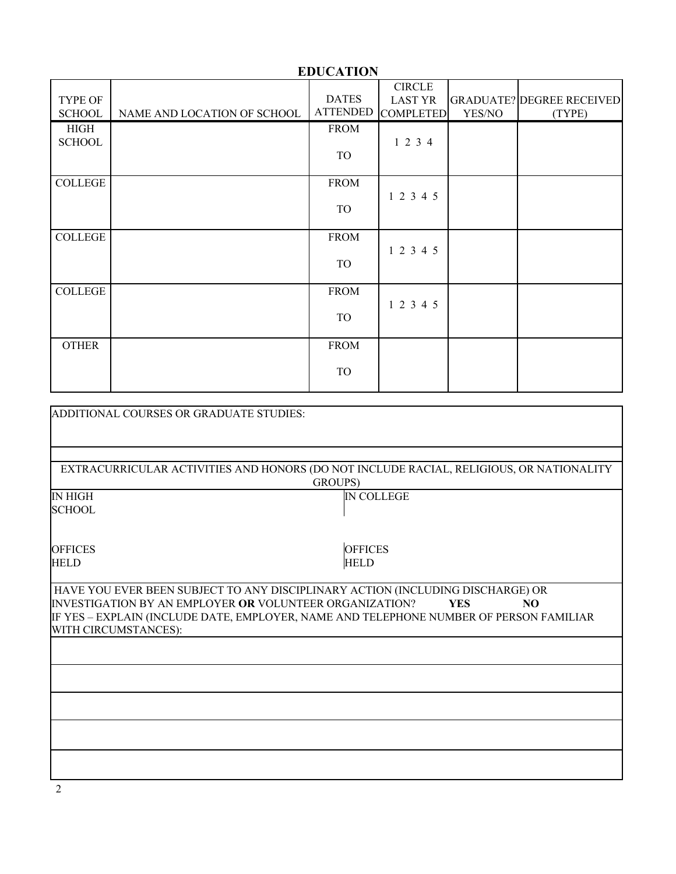|                |                             | EDUCATION       |                                 |        |                                  |
|----------------|-----------------------------|-----------------|---------------------------------|--------|----------------------------------|
| TYPE OF        |                             | <b>DATES</b>    | <b>CIRCLE</b><br><b>LAST YR</b> |        | <b>GRADUATE? DEGREE RECEIVED</b> |
| <b>SCHOOL</b>  | NAME AND LOCATION OF SCHOOL | <b>ATTENDED</b> | <b>COMPLETED</b>                | YES/NO | (TYPE)                           |
| <b>HIGH</b>    |                             | <b>FROM</b>     |                                 |        |                                  |
| <b>SCHOOL</b>  |                             |                 | 1 2 3 4                         |        |                                  |
|                |                             | TO              |                                 |        |                                  |
|                |                             |                 |                                 |        |                                  |
| <b>COLLEGE</b> |                             | <b>FROM</b>     |                                 |        |                                  |
|                |                             |                 | 1 2 3 4 5                       |        |                                  |
|                |                             | TO              |                                 |        |                                  |
|                |                             |                 |                                 |        |                                  |
| <b>COLLEGE</b> |                             | <b>FROM</b>     |                                 |        |                                  |
|                |                             |                 | 1 2 3 4 5                       |        |                                  |
|                |                             | TO              |                                 |        |                                  |
|                |                             |                 |                                 |        |                                  |
| <b>COLLEGE</b> |                             | <b>FROM</b>     |                                 |        |                                  |
|                |                             |                 | 1 2 3 4 5                       |        |                                  |
|                |                             | TO              |                                 |        |                                  |
|                |                             |                 |                                 |        |                                  |
| <b>OTHER</b>   |                             | <b>FROM</b>     |                                 |        |                                  |
|                |                             |                 |                                 |        |                                  |
|                |                             | <b>TO</b>       |                                 |        |                                  |
|                |                             |                 |                                 |        |                                  |

 $\overline{\mathbf{r}}$ 

| ADDITIONAL COURSES OR GRADUATE STUDIES:                        |                                                                                         |  |
|----------------------------------------------------------------|-----------------------------------------------------------------------------------------|--|
|                                                                |                                                                                         |  |
|                                                                |                                                                                         |  |
|                                                                | EXTRACURRICULAR ACTIVITIES AND HONORS (DO NOT INCLUDE RACIAL, RELIGIOUS, OR NATIONALITY |  |
|                                                                | GROUPS)                                                                                 |  |
| <b>IN HIGH</b>                                                 | <b>IN COLLEGE</b>                                                                       |  |
| <b>SCHOOL</b>                                                  |                                                                                         |  |
|                                                                |                                                                                         |  |
| <b>OFFICES</b>                                                 | <b>OFFICES</b>                                                                          |  |
| <b>HELD</b>                                                    | <b>HELD</b>                                                                             |  |
|                                                                |                                                                                         |  |
|                                                                | HAVE YOU EVER BEEN SUBJECT TO ANY DISCIPLINARY ACTION (INCLUDING DISCHARGE) OR          |  |
| <b>INVESTIGATION BY AN EMPLOYER OR VOLUNTEER ORGANIZATION?</b> | <b>YES</b><br>NO.                                                                       |  |
|                                                                | IF YES – EXPLAIN (INCLUDE DATE, EMPLOYER, NAME AND TELEPHONE NUMBER OF PERSON FAMILIAR  |  |
| WITH CIRCUMSTANCES):                                           |                                                                                         |  |
|                                                                |                                                                                         |  |
|                                                                |                                                                                         |  |
|                                                                |                                                                                         |  |
|                                                                |                                                                                         |  |
|                                                                |                                                                                         |  |
|                                                                |                                                                                         |  |
|                                                                |                                                                                         |  |
|                                                                |                                                                                         |  |

# **EDUCATION**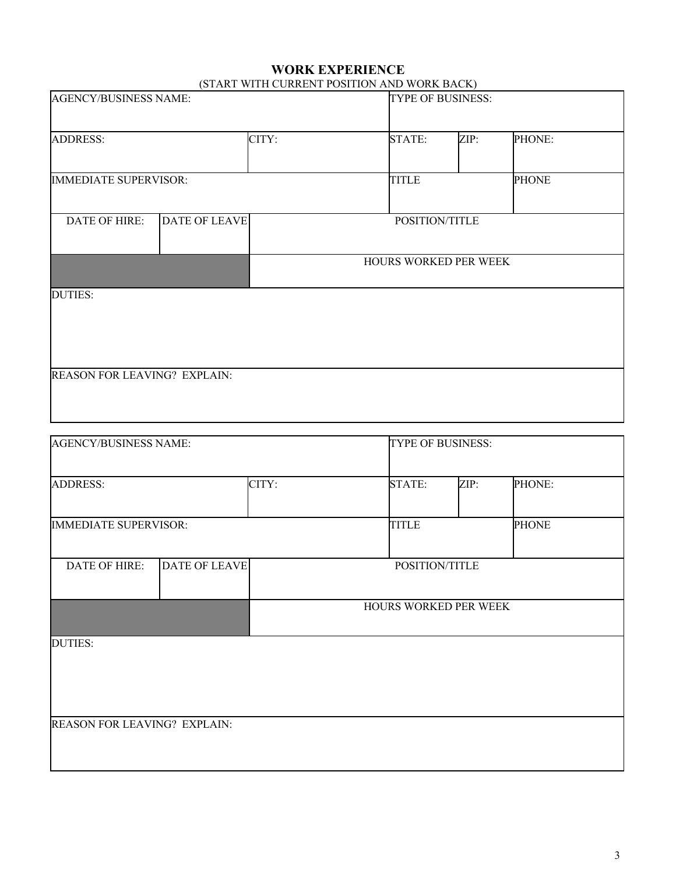#### **WORK EXPERIENCE** (START WITH CURRENT POSITION AND WORK BACK)

| <b>AGENCY/BUSINESS NAME:</b> |                      | $(911 \text{ m} \cdot 1 \cdot 1)$<br><b>TYPE OF BUSINESS:</b> |      |              |
|------------------------------|----------------------|---------------------------------------------------------------|------|--------------|
| <b>ADDRESS:</b>              | CITY:                | <b>STATE:</b>                                                 | ZIP: | PHONE:       |
| <b>IMMEDIATE SUPERVISOR:</b> |                      | <b>TITLE</b>                                                  |      | <b>PHONE</b> |
| DATE OF HIRE:                | <b>DATE OF LEAVE</b> | POSITION/TITLE                                                |      |              |
|                              |                      | HOURS WORKED PER WEEK                                         |      |              |
| <b>DUTIES:</b>               |                      |                                                               |      |              |
|                              |                      |                                                               |      |              |
| REASON FOR LEAVING? EXPLAIN: |                      |                                                               |      |              |
|                              |                      |                                                               |      |              |

| AGENCY/BUSINESS NAME:        |                      |       | <b>TYPE OF BUSINESS:</b> |                       |      |              |
|------------------------------|----------------------|-------|--------------------------|-----------------------|------|--------------|
| <b>ADDRESS:</b>              |                      | CITY: |                          | <b>STATE:</b>         | ZIP: | PHONE:       |
| <b>IMMEDIATE SUPERVISOR:</b> |                      |       |                          | <b>TITLE</b>          |      | <b>PHONE</b> |
| DATE OF HIRE:                | <b>DATE OF LEAVE</b> |       |                          | POSITION/TITLE        |      |              |
|                              |                      |       |                          | HOURS WORKED PER WEEK |      |              |
| <b>DUTIES:</b>               |                      |       |                          |                       |      |              |
|                              |                      |       |                          |                       |      |              |
| REASON FOR LEAVING? EXPLAIN: |                      |       |                          |                       |      |              |
|                              |                      |       |                          |                       |      |              |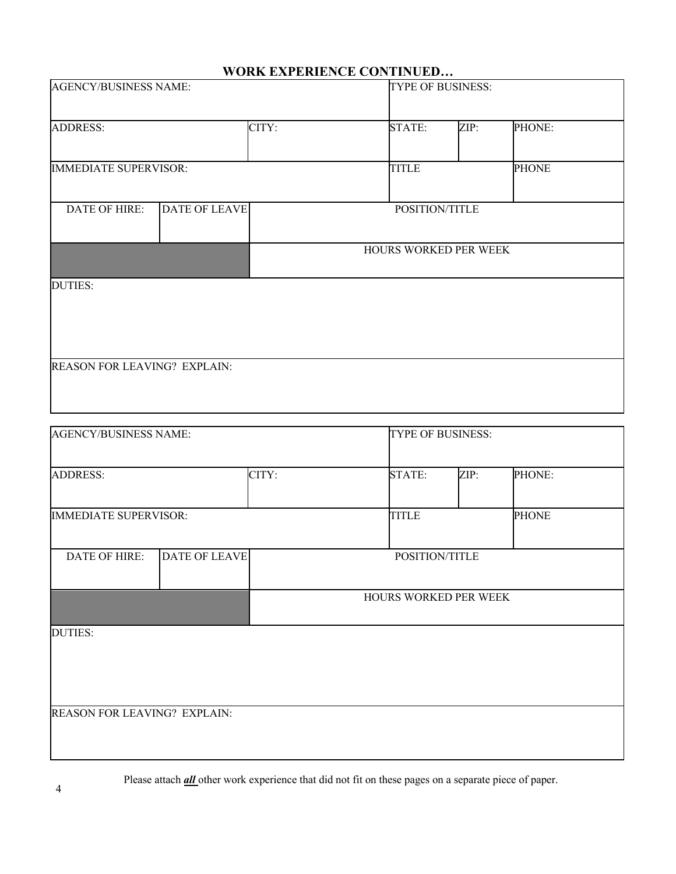## **WORK EXPERIENCE CONTINUED…**

| <b>AGENCY/BUSINESS NAME:</b> |                      |       | TYPE OF BUSINESS:     |                       |              |  |  |  |
|------------------------------|----------------------|-------|-----------------------|-----------------------|--------------|--|--|--|
| <b>ADDRESS:</b>              |                      | CITY: | <b>STATE:</b>         | ZIP:                  | PHONE:       |  |  |  |
| <b>IMMEDIATE SUPERVISOR:</b> |                      |       | <b>TITLE</b>          |                       | <b>PHONE</b> |  |  |  |
| DATE OF HIRE:                | <b>DATE OF LEAVE</b> |       | POSITION/TITLE        |                       |              |  |  |  |
|                              |                      |       |                       | HOURS WORKED PER WEEK |              |  |  |  |
| <b>DUTIES:</b>               |                      |       |                       |                       |              |  |  |  |
|                              |                      |       |                       |                       |              |  |  |  |
| REASON FOR LEAVING? EXPLAIN: |                      |       |                       |                       |              |  |  |  |
|                              |                      |       |                       |                       |              |  |  |  |
| <b>AGENCY/BUSINESS NAME:</b> |                      |       | TYPE OF BUSINESS:     |                       |              |  |  |  |
| <b>ADDRESS:</b>              |                      | CITY: | <b>STATE:</b>         | ZIP:                  | PHONE:       |  |  |  |
| <b>IMMEDIATE SUPERVISOR:</b> |                      |       | <b>TITLE</b>          |                       | <b>PHONE</b> |  |  |  |
| DATE OF HIRE:                | <b>DATE OF LEAVE</b> |       | POSITION/TITLE        |                       |              |  |  |  |
|                              |                      |       | HOURS WORKED PER WEEK |                       |              |  |  |  |
| <b>DUTIES:</b>               |                      |       |                       |                       |              |  |  |  |
|                              |                      |       |                       |                       |              |  |  |  |
| REASON FOR LEAVING? EXPLAIN: |                      |       |                       |                       |              |  |  |  |
|                              |                      |       |                       |                       |              |  |  |  |

Please attach *all* other work experience that did not fit on these pages on a separate piece of paper.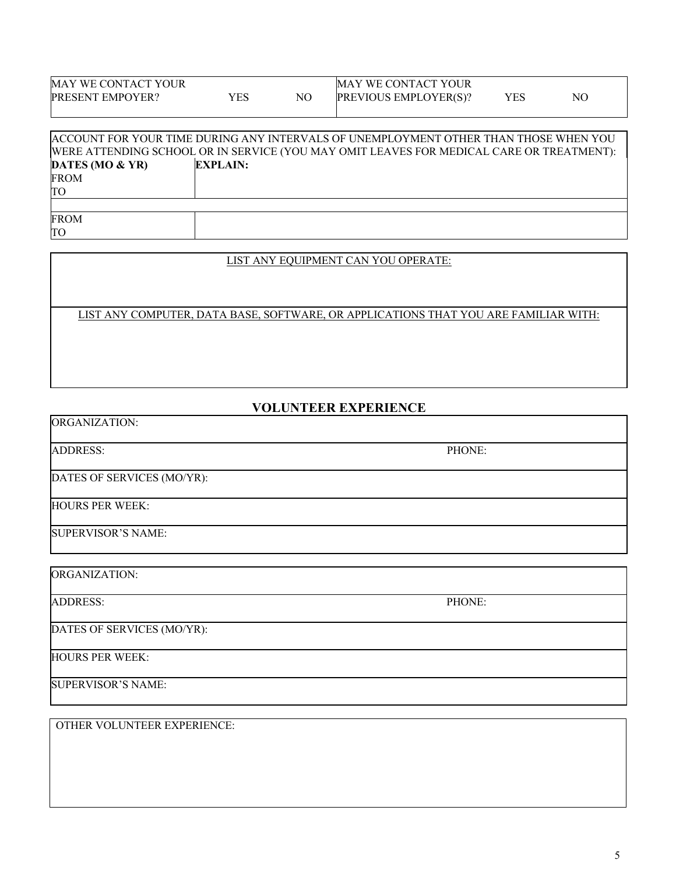| MAY WE CONTACT YOUR |     | <b>MAY WE CONTACT YOUR</b>   |     |    |  |
|---------------------|-----|------------------------------|-----|----|--|
| PRESENT EMPOYER?    | YES | <b>PREVIOUS EMPLOYER(S)?</b> | YES | NO |  |
|                     |     |                              |     |    |  |

|                   | ACCOUNT FOR YOUR TIME DURING ANY INTERVALS OF UNEMPLOYMENT OTHER THAN THOSE WHEN YOU     |
|-------------------|------------------------------------------------------------------------------------------|
|                   | WERE ATTENDING SCHOOL OR IN SERVICE (YOU MAY OMIT LEAVES FOR MEDICAL CARE OR TREATMENT): |
| DATES (MO $&$ YR) | <b>EXPLAIN:</b>                                                                          |
| <b>FROM</b>       |                                                                                          |
| TО                |                                                                                          |
|                   |                                                                                          |
| <b>FROM</b>       |                                                                                          |
| TO                |                                                                                          |

#### LIST ANY EQUIPMENT CAN YOU OPERATE:

LIST ANY COMPUTER, DATA BASE, SOFTWARE, OR APPLICATIONS THAT YOU ARE FAMILIAR WITH:

## **VOLUNTEER EXPERIENCE**

| PHONE: |
|--------|
|        |
|        |
|        |
|        |

ORGANIZATION:

ADDRESS: PHONE:

DATES OF SERVICES (MO/YR):

HOURS PER WEEK:

SUPERVISOR'S NAME:

OTHER VOLUNTEER EXPERIENCE: